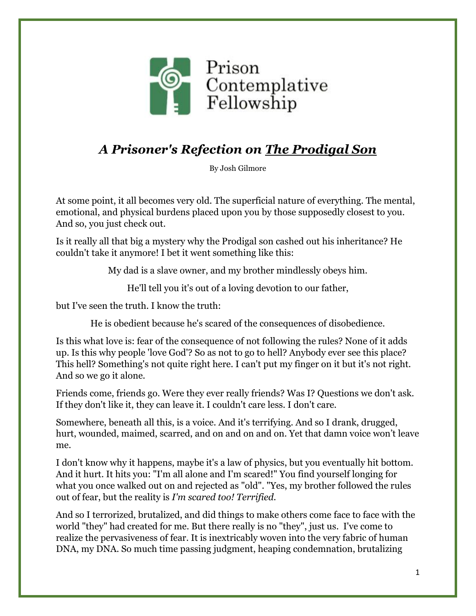

## *A Prisoner's Refection on The Prodigal Son*

By Josh Gilmore

At some point, it all becomes very old. The superficial nature of everything. The mental, emotional, and physical burdens placed upon you by those supposedly closest to you. And so, you just check out.

Is it really all that big a mystery why the Prodigal son cashed out his inheritance? He couldn't take it anymore! I bet it went something like this:

My dad is a slave owner, and my brother mindlessly obeys him.

He'll tell you it's out of a loving devotion to our father,

but I've seen the truth. I know the truth:

He is obedient because he's scared of the consequences of disobedience.

Is this what love is: fear of the consequence of not following the rules? None of it adds up. Is this why people 'love God'? So as not to go to hell? Anybody ever see this place? This hell? Something's not quite right here. I can't put my finger on it but it's not right. And so we go it alone.

Friends come, friends go. Were they ever really friends? Was I? Questions we don't ask. If they don't like it, they can leave it. I couldn't care less. I don't care.

Somewhere, beneath all this, is a voice. And it's terrifying. And so I drank, drugged, hurt, wounded, maimed, scarred, and on and on and on. Yet that damn voice won't leave me.

I don't know why it happens, maybe it's a law of physics, but you eventually hit bottom. And it hurt. It hits you: "I'm all alone and I'm scared!" You find yourself longing for what you once walked out on and rejected as "old". "Yes, my brother followed the rules out of fear, but the reality is *I'm scared too! Terrified.*

And so I terrorized, brutalized, and did things to make others come face to face with the world "they" had created for me. But there really is no "they", just us. I've come to realize the pervasiveness of fear. It is inextricably woven into the very fabric of human DNA, my DNA. So much time passing judgment, heaping condemnation, brutalizing